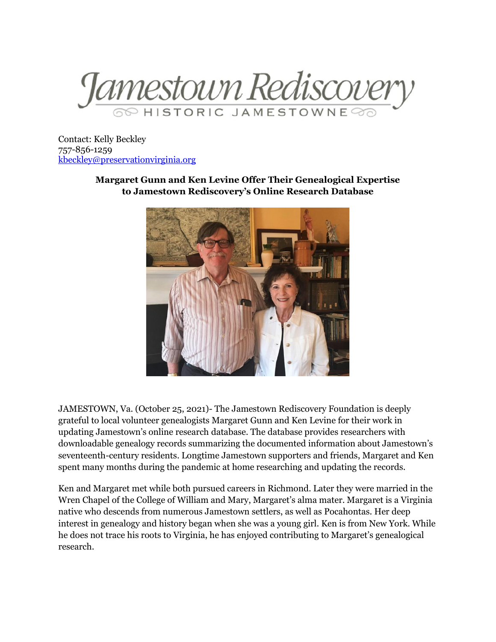

Contact: Kelly Beckley 757-856-1259 [kbeckley@preservationvirginia.org](mailto:kbeckley@preservationvirginia.org)

> **Margaret Gunn and Ken Levine Offer Their Genealogical Expertise to Jamestown Rediscovery's Online Research Database**



JAMESTOWN, Va. (October 25, 2021)- The Jamestown Rediscovery Foundation is deeply grateful to local volunteer genealogists Margaret Gunn and Ken Levine for their work in updating Jamestown's online research database. The database provides researchers with downloadable genealogy records summarizing the documented information about Jamestown's seventeenth-century residents. Longtime Jamestown supporters and friends, Margaret and Ken spent many months during the pandemic at home researching and updating the records.

Ken and Margaret met while both pursued careers in Richmond. Later they were married in the Wren Chapel of the College of William and Mary, Margaret's alma mater. Margaret is a Virginia native who descends from numerous Jamestown settlers, as well as Pocahontas. Her deep interest in genealogy and history began when she was a young girl. Ken is from New York. While he does not trace his roots to Virginia, he has enjoyed contributing to Margaret's genealogical research.